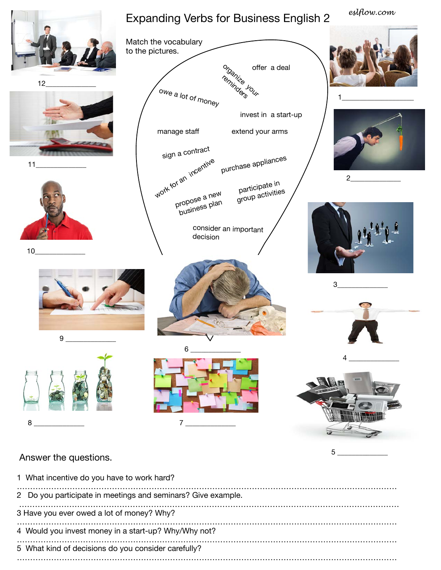

## Answer the questions.

1 What incentive do you have to work hard? ……………………………………………………………………………………………………………………………… 2 Do you participate in meetings and seminars? Give example. ……………………………………………………………………………………………………………………………… 3 Have you ever owed a lot of money? Why? ……………………………………………………………………………………………………………………………… 4 Would you invest money in a start-up? Why/Why not? ……………………………………………………………………………………………………………………………… 5 What kind of decisions do you consider carefully? ………………………………………………………………………………………………………………………………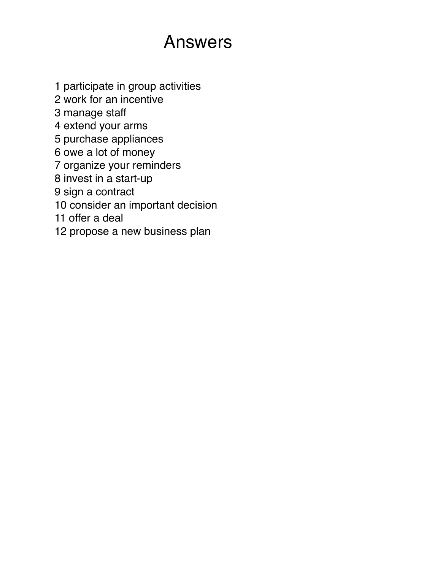## Answers

- 1 participate in group activities
- 2 work for an incentive
- 3 manage staff
- 4 extend your arms
- 5 purchase appliances
- 6 owe a lot of money
- 7 organize your reminders
- 8 invest in a start-up
- 9 sign a contract
- 10 consider an important decision
- 11 offer a deal
- 12 propose a new business plan